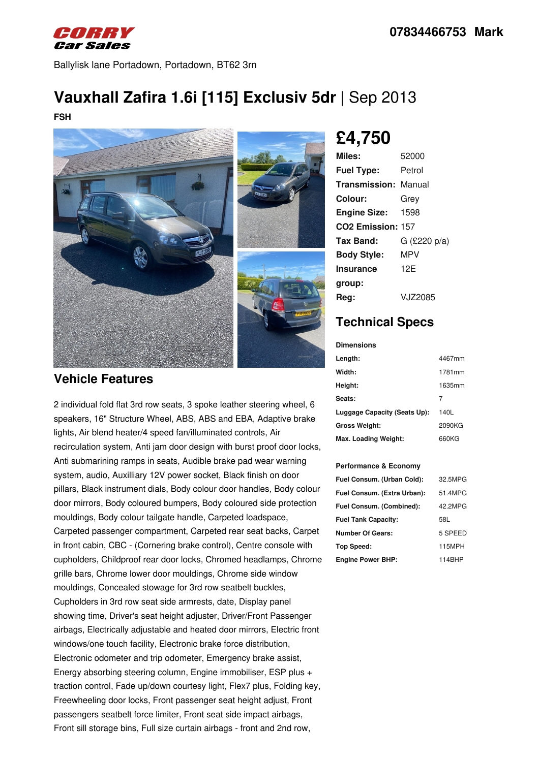

Ballylisk lane Portadown, Portadown, BT62 3rn

# **Vauxhall Zafira 1.6i [115] Exclusiv 5dr** | Sep 2013

**FSH**



# **£4,750**

| Miles:                        | 52000          |
|-------------------------------|----------------|
| <b>Fuel Type:</b>             | Petrol         |
| <b>Transmission: Manual</b>   |                |
| Colour:                       | Grey           |
| <b>Engine Size:</b>           | 1598           |
| CO <sub>2</sub> Emission: 157 |                |
| Tax Band:                     | $G$ (£220 p/a) |
| <b>Body Style:</b>            | MPV            |
| Insurance                     | 12F            |
| group:                        |                |
| Reg:                          | VJZ2085        |

## **Technical Specs**

**Dimensions**

| Length:                      | 4467mm |
|------------------------------|--------|
| Width:                       | 1781mm |
| Height:                      | 1635mm |
| Seats:                       | 7      |
| Luggage Capacity (Seats Up): | 140L   |
| <b>Gross Weight:</b>         | 2090KG |
| Max. Loading Weight:         | 660KG  |

#### **Performance & Economy**

| Fuel Consum. (Urban Cold):  | 32.5MPG |
|-----------------------------|---------|
| Fuel Consum. (Extra Urban): | 51.4MPG |
| Fuel Consum. (Combined):    | 42.2MPG |
| <b>Fuel Tank Capacity:</b>  | 58L     |
| <b>Number Of Gears:</b>     | 5 SPEED |
| Top Speed:                  | 115MPH  |
| <b>Engine Power BHP:</b>    | 114BHP  |

### **Vehicle Features**

2 individual fold flat 3rd row seats, 3 spoke leather steering wheel, 6 speakers, 16" Structure Wheel, ABS, ABS and EBA, Adaptive brake lights, Air blend heater/4 speed fan/illuminated controls, Air recirculation system, Anti jam door design with burst proof door locks, Anti submarining ramps in seats, Audible brake pad wear warning system, audio, Auxilliary 12V power socket, Black finish on door pillars, Black instrument dials, Body colour door handles, Body colour door mirrors, Body coloured bumpers, Body coloured side protection mouldings, Body colour tailgate handle, Carpeted loadspace, Carpeted passenger compartment, Carpeted rear seat backs, Carpet in front cabin, CBC - (Cornering brake control), Centre console with cupholders, Childproof rear door locks, Chromed headlamps, Chrome grille bars, Chrome lower door mouldings, Chrome side window mouldings, Concealed stowage for 3rd row seatbelt buckles, Cupholders in 3rd row seat side armrests, date, Display panel showing time, Driver's seat height adjuster, Driver/Front Passenger airbags, Electrically adjustable and heated door mirrors, Electric front windows/one touch facility, Electronic brake force distribution, Electronic odometer and trip odometer, Emergency brake assist, Energy absorbing steering column, Engine immobiliser, ESP plus + traction control, Fade up/down courtesy light, Flex7 plus, Folding key, Freewheeling door locks, Front passenger seat height adjust, Front passengers seatbelt force limiter, Front seat side impact airbags, Front sill storage bins, Full size curtain airbags - front and 2nd row,